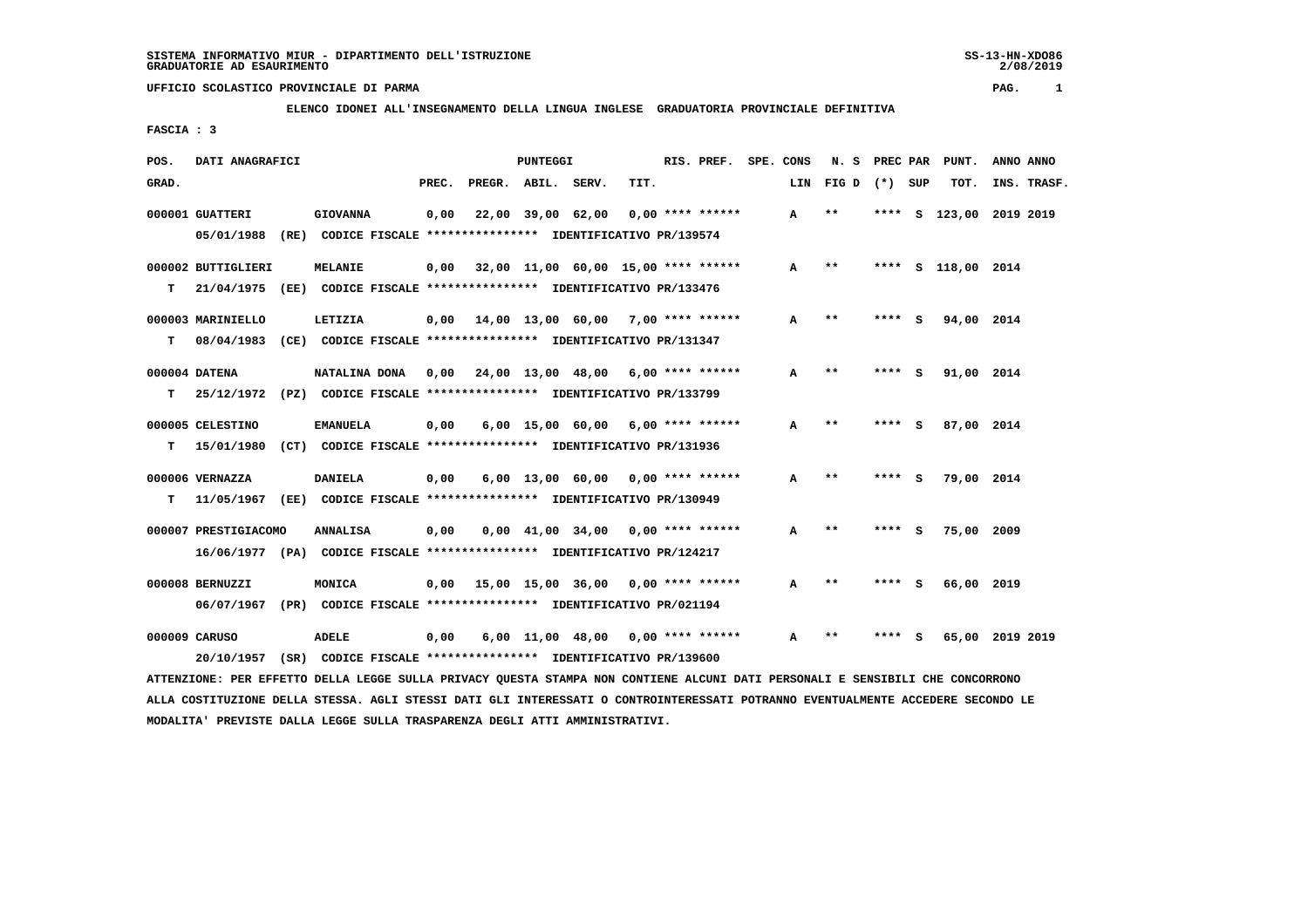2/08/2019

## **UFFICIO SCOLASTICO PROVINCIALE DI PARMA PAG. 1**

## **ELENCO IDONEI ALL'INSEGNAMENTO DELLA LINGUA INGLESE GRADUATORIA PROVINCIALE DEFINITIVA**

 **FASCIA : 3**

| POS.  | DATI ANAGRAFICI      | PUNTEGGI                                                                                                                      |       |                                            |  |                                     |      | RIS. PREF.         | SPE. CONS |     | N. S                       | PREC PAR |     | PUNT.              | ANNO ANNO |             |
|-------|----------------------|-------------------------------------------------------------------------------------------------------------------------------|-------|--------------------------------------------|--|-------------------------------------|------|--------------------|-----------|-----|----------------------------|----------|-----|--------------------|-----------|-------------|
| GRAD. |                      |                                                                                                                               | PREC. | PREGR. ABIL.                               |  | SERV.                               | TIT. |                    |           | LIN | FIG D $(*)$ SUP            |          |     | TOT.               |           | INS. TRASF. |
|       | 000001 GUATTERI      | <b>GIOVANNA</b>                                                                                                               | 0,00  |                                            |  | 22,00 39,00 62,00                   |      | $0.00$ **** ****** |           | A   | $***$                      | ****     | s   | 123,00 2019 2019   |           |             |
|       |                      | 05/01/1988 (RE) CODICE FISCALE *************** IDENTIFICATIVO PR/139574                                                       |       |                                            |  |                                     |      |                    |           |     |                            |          |     |                    |           |             |
|       | 000002 BUTTIGLIERI   | MELANIE                                                                                                                       |       | $0,00$ 32,00 11,00 60,00 15,00 **** ****** |  |                                     |      |                    |           | A   | $\star\star$               |          |     | **** S 118,00 2014 |           |             |
| т     |                      | 21/04/1975 (EE) CODICE FISCALE **************** IDENTIFICATIVO PR/133476                                                      |       |                                            |  |                                     |      |                    |           |     |                            |          |     |                    |           |             |
|       | 000003 MARINIELLO    | LETIZIA                                                                                                                       |       | $0,00$ 14,00 13,00 60,00 7,00 **** ******  |  |                                     |      |                    |           | A   | $* *$                      | **** S   |     | 94,00 2014         |           |             |
| т     |                      | 08/04/1983 (CE) CODICE FISCALE **************** IDENTIFICATIVO PR/131347                                                      |       |                                            |  |                                     |      |                    |           |     |                            |          |     |                    |           |             |
|       | 000004 DATENA        | NATALINA DONA                                                                                                                 |       | $0,00$ 24,00 13,00 48,00 6,00 **** ******  |  |                                     |      |                    |           | A   | $\star\star$               | **** S   |     | 91,00 2014         |           |             |
| т     |                      | 25/12/1972 (PZ) CODICE FISCALE **************** IDENTIFICATIVO PR/133799                                                      |       |                                            |  |                                     |      |                    |           |     |                            |          |     |                    |           |             |
|       | 000005 CELESTINO     | <b>EMANUELA</b>                                                                                                               | 0,00  |                                            |  | $6,00$ 15,00 60,00 6,00 **** ****** |      |                    |           | A   | $\star\star$               | ****     | - 5 | 87,00 2014         |           |             |
| т     | 15/01/1980           | (CT) CODICE FISCALE **************** IDENTIFICATIVO PR/131936                                                                 |       |                                            |  |                                     |      |                    |           |     |                            |          |     |                    |           |             |
|       | 000006 VERNAZZA      | <b>DANIELA</b>                                                                                                                | 0,00  |                                            |  | $6,00$ 13,00 60,00 0,00 **** ****** |      |                    |           | A   | $* *$                      | **** S   |     | 79,00 2014         |           |             |
| т     |                      | 11/05/1967 (EE) CODICE FISCALE *************** IDENTIFICATIVO PR/130949                                                       |       |                                            |  |                                     |      |                    |           |     |                            |          |     |                    |           |             |
|       | 000007 PRESTIGIACOMO | <b>ANNALISA</b>                                                                                                               | 0,00  |                                            |  | $0.00 \quad 41.00 \quad 34.00$      |      | $0.00$ **** ****** |           | A   | $* *$                      | ****     | ్   | 75,00 2009         |           |             |
|       |                      | 16/06/1977 (PA) CODICE FISCALE **************** IDENTIFICATIVO PR/124217                                                      |       |                                            |  |                                     |      |                    |           |     |                            |          |     |                    |           |             |
|       | 000008 BERNUZZI      | MONICA                                                                                                                        |       | $0,00$ 15,00 15,00 36,00 0,00 **** ******  |  |                                     |      |                    |           | A   | $\pmb{\times}\pmb{\times}$ | **** S   |     | 66,00 2019         |           |             |
|       |                      | 06/07/1967 (PR) CODICE FISCALE *************** IDENTIFICATIVO PR/021194                                                       |       |                                            |  |                                     |      |                    |           |     |                            |          |     |                    |           |             |
|       | 000009 CARUSO        | <b>ADELE</b>                                                                                                                  | 0,00  |                                            |  | $6,00$ 11,00 48,00 0,00 **** ****** |      |                    |           | A   | $* *$                      |          |     | 65,00 2019 2019    |           |             |
|       | 20/10/1957           | (SR) CODICE FISCALE **************** IDENTIFICATIVO PR/139600                                                                 |       |                                            |  |                                     |      |                    |           |     |                            |          |     |                    |           |             |
|       |                      | ATTENZIONE: PER EFFETTO DELLA LEGGE SULLA PRIVACY QUESTA STAMPA NON CONTIENE ALCUNI DATI PERSONALI E SENSIBILI CHE CONCORRONO |       |                                            |  |                                     |      |                    |           |     |                            |          |     |                    |           |             |

 **ALLA COSTITUZIONE DELLA STESSA. AGLI STESSI DATI GLI INTERESSATI O CONTROINTERESSATI POTRANNO EVENTUALMENTE ACCEDERE SECONDO LE MODALITA' PREVISTE DALLA LEGGE SULLA TRASPARENZA DEGLI ATTI AMMINISTRATIVI.**